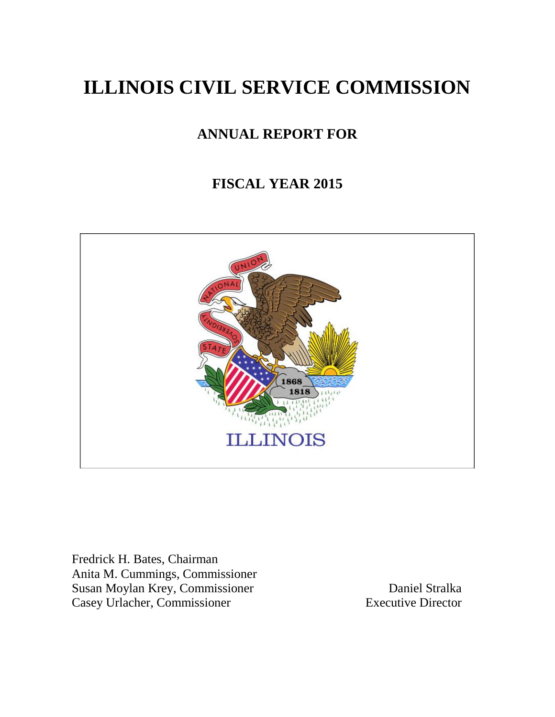# **ILLINOIS CIVIL SERVICE COMMISSION**

# **ANNUAL REPORT FOR**

# **FISCAL YEAR 2015**



Fredrick H. Bates, Chairman Anita M. Cummings, Commissioner Susan Moylan Krey, Commissioner Daniel Stralka Casey Urlacher, Commissioner Executive Director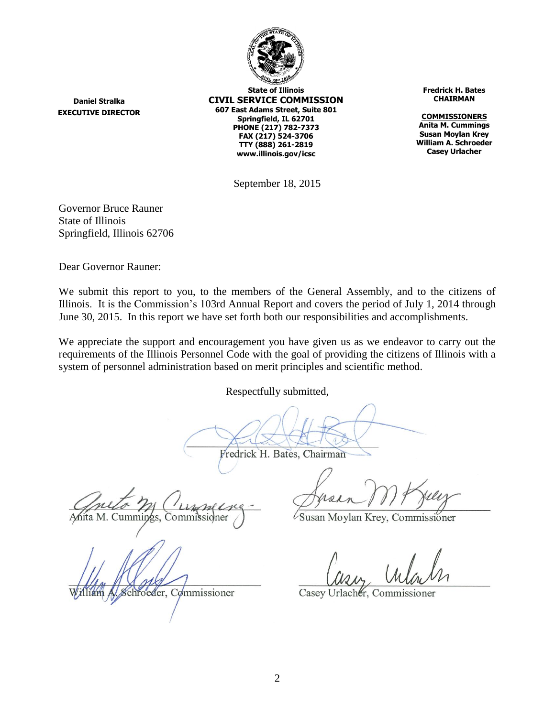

**State of Illinois CIVIL SERVICE COMMISSION 607 East Adams Street, Suite 801 Springfield, IL 62701 PHONE (217) 782-7373 FAX (217) 524-3706 TTY (888) 261-2819 www.illinois.gov/icsc**

**Fredrick H. Bates CHAIRMAN**

**COMMISSIONERS Anita M. Cummings Susan Moylan Krey William A. Schroeder Casey Urlacher**

September 18, 2015

Governor Bruce Rauner State of Illinois Springfield, Illinois 62706

**Daniel Stralka EXECUTIVE DIRECTOR**

Dear Governor Rauner:

We submit this report to you, to the members of the General Assembly, and to the citizens of Illinois. It is the Commission's 103rd Annual Report and covers the period of July 1, 2014 through June 30, 2015. In this report we have set forth both our responsibilities and accomplishments.

We appreciate the support and encouragement you have given us as we endeavor to carry out the requirements of the Illinois Personnel Code with the goal of providing the citizens of Illinois with a system of personnel administration based on merit principles and scientific method.

Respectfully submitted,

Fredrick H. Bates, Chairman

M. Cummings, Commissioner

chroeder, Commissioner

Susan Moylan Krey, Commissioner

Casey Urlacher, Commissioner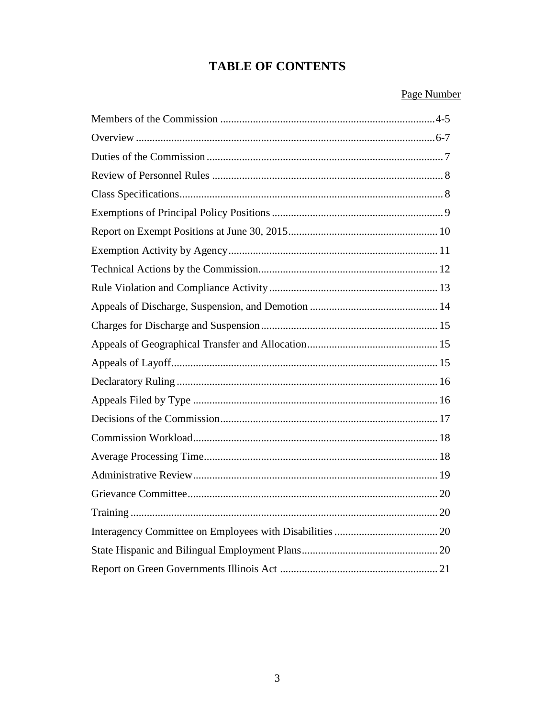# **TABLE OF CONTENTS**

# Page Number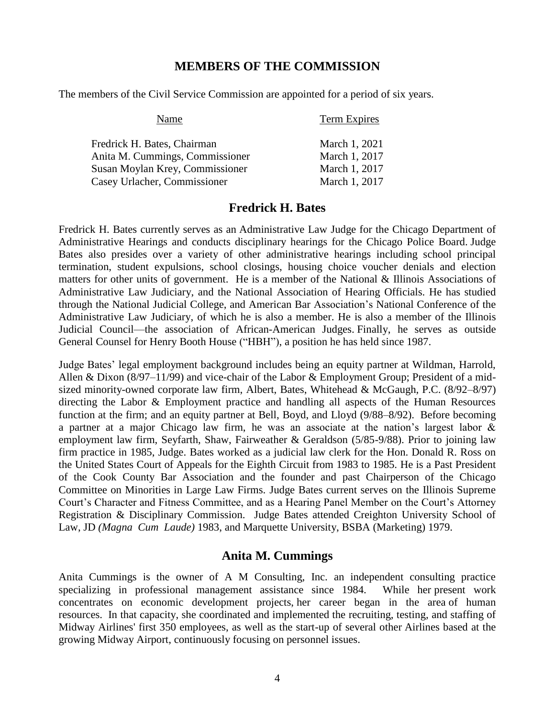#### **MEMBERS OF THE COMMISSION**

The members of the Civil Service Commission are appointed for a period of six years.

| Name                            | <b>Term Expires</b> |
|---------------------------------|---------------------|
| Fredrick H. Bates, Chairman     | March 1, 2021       |
| Anita M. Cummings, Commissioner | March 1, 2017       |
| Susan Moylan Krey, Commissioner | March 1, 2017       |
| Casey Urlacher, Commissioner    | March 1, 2017       |

#### **Fredrick H. Bates**

Fredrick H. Bates currently serves as an Administrative Law Judge for the Chicago Department of Administrative Hearings and conducts disciplinary hearings for the Chicago Police Board. Judge Bates also presides over a variety of other administrative hearings including school principal termination, student expulsions, school closings, housing choice voucher denials and election matters for other units of government. He is a member of the National & Illinois Associations of Administrative Law Judiciary, and the National Association of Hearing Officials. He has studied through the National Judicial College, and American Bar Association's National Conference of the Administrative Law Judiciary, of which he is also a member. He is also a member of the Illinois Judicial Council—the association of African-American Judges. Finally, he serves as outside General Counsel for Henry Booth House ("HBH"), a position he has held since 1987.

Judge Bates' legal employment background includes being an equity partner at Wildman, Harrold, Allen & Dixon (8/97–11/99) and vice-chair of the Labor & Employment Group; President of a midsized minority-owned corporate law firm, Albert, Bates, Whitehead & McGaugh, P.C. (8/92–8/97) directing the Labor & Employment practice and handling all aspects of the Human Resources function at the firm; and an equity partner at Bell, Boyd, and Lloyd (9/88–8/92). Before becoming a partner at a major Chicago law firm, he was an associate at the nation's largest labor & employment law firm, Seyfarth, Shaw, Fairweather & Geraldson (5/85-9/88). Prior to joining law firm practice in 1985, Judge. Bates worked as a judicial law clerk for the Hon. Donald R. Ross on the United States Court of Appeals for the Eighth Circuit from 1983 to 1985. He is a Past President of the Cook County Bar Association and the founder and past Chairperson of the Chicago Committee on Minorities in Large Law Firms. Judge Bates current serves on the Illinois Supreme Court's Character and Fitness Committee, and as a Hearing Panel Member on the Court's Attorney Registration & Disciplinary Commission. Judge Bates attended Creighton University School of Law, JD *(Magna Cum Laude)* 1983, and Marquette University, BSBA (Marketing) 1979.

#### **Anita M. Cummings**

Anita Cummings is the owner of A M Consulting, Inc. an independent consulting practice specializing in professional management assistance since 1984. While her present work concentrates on economic development projects, her career began in the area of human resources. In that capacity, she coordinated and implemented the recruiting, testing, and staffing of Midway Airlines' first 350 employees, as well as the start-up of several other Airlines based at the growing Midway Airport, continuously focusing on personnel issues.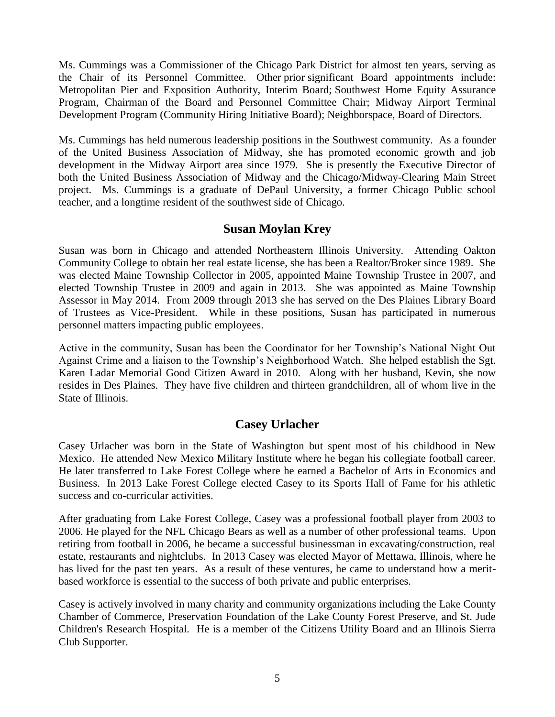Ms. Cummings was a Commissioner of the Chicago Park District for almost ten years, serving as the Chair of its Personnel Committee. Other prior significant Board appointments include: Metropolitan Pier and Exposition Authority, Interim Board; Southwest Home Equity Assurance Program, Chairman of the Board and Personnel Committee Chair; Midway Airport Terminal Development Program (Community Hiring Initiative Board); Neighborspace, Board of Directors.

Ms. Cummings has held numerous leadership positions in the Southwest community. As a founder of the United Business Association of Midway, she has promoted economic growth and job development in the Midway Airport area since 1979. She is presently the Executive Director of both the United Business Association of Midway and the Chicago/Midway-Clearing Main Street project. Ms. Cummings is a graduate of DePaul University, a former Chicago Public school teacher, and a longtime resident of the southwest side of Chicago.

### **Susan Moylan Krey**

Susan was born in Chicago and attended Northeastern Illinois University. Attending Oakton Community College to obtain her real estate license, she has been a Realtor/Broker since 1989. She was elected Maine Township Collector in 2005, appointed Maine Township Trustee in 2007, and elected Township Trustee in 2009 and again in 2013. She was appointed as Maine Township Assessor in May 2014. From 2009 through 2013 she has served on the Des Plaines Library Board of Trustees as Vice-President. While in these positions, Susan has participated in numerous personnel matters impacting public employees.

Active in the community, Susan has been the Coordinator for her Township's National Night Out Against Crime and a liaison to the Township's Neighborhood Watch. She helped establish the Sgt. Karen Ladar Memorial Good Citizen Award in 2010. Along with her husband, Kevin, she now resides in Des Plaines. They have five children and thirteen grandchildren, all of whom live in the State of Illinois.

#### **Casey Urlacher**

Casey Urlacher was born in the State of Washington but spent most of his childhood in New Mexico. He attended New Mexico Military Institute where he began his collegiate football career. He later transferred to Lake Forest College where he earned a Bachelor of Arts in Economics and Business. In 2013 Lake Forest College elected Casey to its Sports Hall of Fame for his athletic success and co-curricular activities.

After graduating from Lake Forest College, Casey was a professional football player from 2003 to 2006. He played for the NFL Chicago Bears as well as a number of other professional teams. Upon retiring from football in 2006, he became a successful businessman in excavating/construction, real estate, restaurants and nightclubs. In 2013 Casey was elected Mayor of Mettawa, Illinois, where he has lived for the past ten years. As a result of these ventures, he came to understand how a meritbased workforce is essential to the success of both private and public enterprises.

Casey is actively involved in many charity and community organizations including the Lake County Chamber of Commerce, Preservation Foundation of the Lake County Forest Preserve, and St. Jude Children's Research Hospital. He is a member of the Citizens Utility Board and an Illinois Sierra Club Supporter.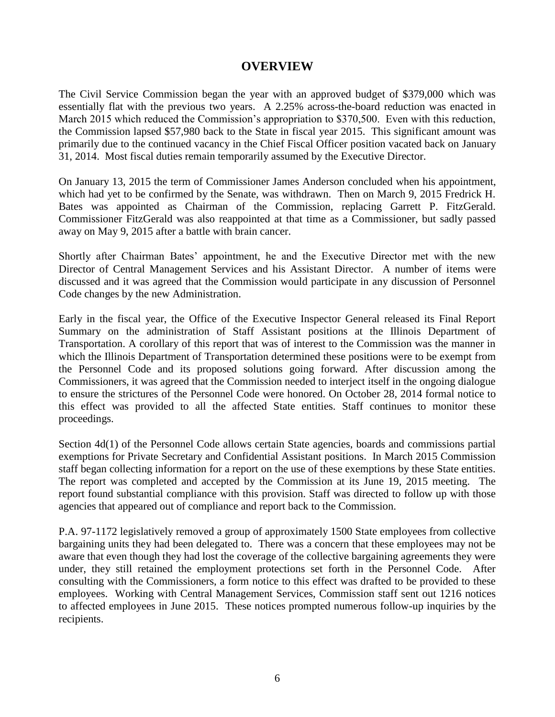#### **OVERVIEW**

The Civil Service Commission began the year with an approved budget of \$379,000 which was essentially flat with the previous two years. A 2.25% across-the-board reduction was enacted in March 2015 which reduced the Commission's appropriation to \$370,500. Even with this reduction, the Commission lapsed \$57,980 back to the State in fiscal year 2015. This significant amount was primarily due to the continued vacancy in the Chief Fiscal Officer position vacated back on January 31, 2014. Most fiscal duties remain temporarily assumed by the Executive Director.

On January 13, 2015 the term of Commissioner James Anderson concluded when his appointment, which had yet to be confirmed by the Senate, was withdrawn. Then on March 9, 2015 Fredrick H. Bates was appointed as Chairman of the Commission, replacing Garrett P. FitzGerald. Commissioner FitzGerald was also reappointed at that time as a Commissioner, but sadly passed away on May 9, 2015 after a battle with brain cancer.

Shortly after Chairman Bates' appointment, he and the Executive Director met with the new Director of Central Management Services and his Assistant Director. A number of items were discussed and it was agreed that the Commission would participate in any discussion of Personnel Code changes by the new Administration.

Early in the fiscal year, the Office of the Executive Inspector General released its Final Report Summary on the administration of Staff Assistant positions at the Illinois Department of Transportation. A corollary of this report that was of interest to the Commission was the manner in which the Illinois Department of Transportation determined these positions were to be exempt from the Personnel Code and its proposed solutions going forward. After discussion among the Commissioners, it was agreed that the Commission needed to interject itself in the ongoing dialogue to ensure the strictures of the Personnel Code were honored. On October 28, 2014 formal notice to this effect was provided to all the affected State entities. Staff continues to monitor these proceedings.

Section 4d(1) of the Personnel Code allows certain State agencies, boards and commissions partial exemptions for Private Secretary and Confidential Assistant positions. In March 2015 Commission staff began collecting information for a report on the use of these exemptions by these State entities. The report was completed and accepted by the Commission at its June 19, 2015 meeting. The report found substantial compliance with this provision. Staff was directed to follow up with those agencies that appeared out of compliance and report back to the Commission.

P.A. 97-1172 legislatively removed a group of approximately 1500 State employees from collective bargaining units they had been delegated to. There was a concern that these employees may not be aware that even though they had lost the coverage of the collective bargaining agreements they were under, they still retained the employment protections set forth in the Personnel Code. After consulting with the Commissioners, a form notice to this effect was drafted to be provided to these employees. Working with Central Management Services, Commission staff sent out 1216 notices to affected employees in June 2015. These notices prompted numerous follow-up inquiries by the recipients.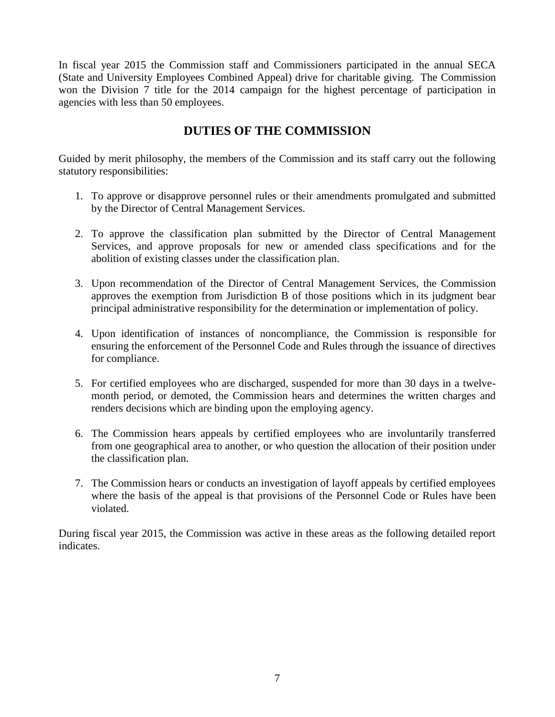In fiscal year 2015 the Commission staff and Commissioners participated in the annual SECA (State and University Employees Combined Appeal) drive for charitable giving. The Commission won the Division 7 title for the 2014 campaign for the highest percentage of participation in agencies with less than 50 employees.

# **DUTIES OF THE COMMISSION**

Guided by merit philosophy, the members of the Commission and its staff carry out the following statutory responsibilities:

- 1. To approve or disapprove personnel rules or their amendments promulgated and submitted by the Director of Central Management Services.
- 2. To approve the classification plan submitted by the Director of Central Management Services, and approve proposals for new or amended class specifications and for the abolition of existing classes under the classification plan.
- 3. Upon recommendation of the Director of Central Management Services, the Commission approves the exemption from Jurisdiction B of those positions which in its judgment bear principal administrative responsibility for the determination or implementation of policy.
- 4. Upon identification of instances of noncompliance, the Commission is responsible for ensuring the enforcement of the Personnel Code and Rules through the issuance of directives for compliance.
- 5. For certified employees who are discharged, suspended for more than 30 days in a twelvemonth period, or demoted, the Commission hears and determines the written charges and renders decisions which are binding upon the employing agency.
- 6. The Commission hears appeals by certified employees who are involuntarily transferred from one geographical area to another, or who question the allocation of their position under the classification plan.
- 7. The Commission hears or conducts an investigation of layoff appeals by certified employees where the basis of the appeal is that provisions of the Personnel Code or Rules have been violated.

During fiscal year 2015, the Commission was active in these areas as the following detailed report indicates.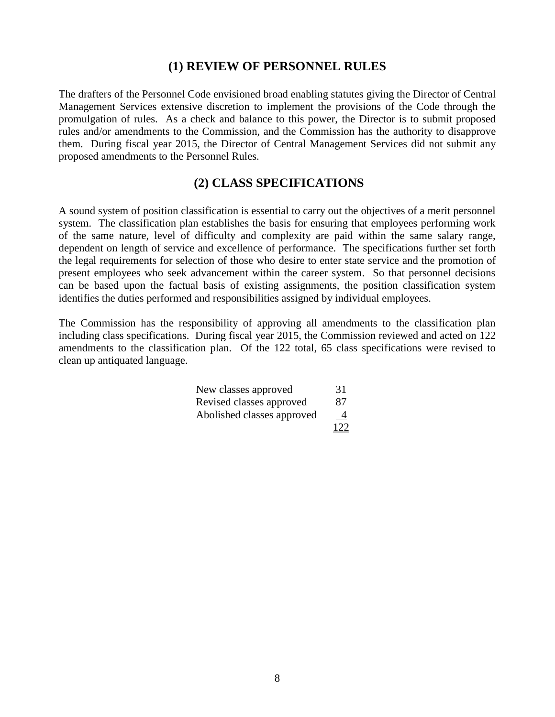#### **(1) REVIEW OF PERSONNEL RULES**

The drafters of the Personnel Code envisioned broad enabling statutes giving the Director of Central Management Services extensive discretion to implement the provisions of the Code through the promulgation of rules. As a check and balance to this power, the Director is to submit proposed rules and/or amendments to the Commission, and the Commission has the authority to disapprove them. During fiscal year 2015, the Director of Central Management Services did not submit any proposed amendments to the Personnel Rules.

#### **(2) CLASS SPECIFICATIONS**

A sound system of position classification is essential to carry out the objectives of a merit personnel system. The classification plan establishes the basis for ensuring that employees performing work of the same nature, level of difficulty and complexity are paid within the same salary range, dependent on length of service and excellence of performance. The specifications further set forth the legal requirements for selection of those who desire to enter state service and the promotion of present employees who seek advancement within the career system. So that personnel decisions can be based upon the factual basis of existing assignments, the position classification system identifies the duties performed and responsibilities assigned by individual employees.

The Commission has the responsibility of approving all amendments to the classification plan including class specifications. During fiscal year 2015, the Commission reviewed and acted on 122 amendments to the classification plan. Of the 122 total, 65 class specifications were revised to clean up antiquated language.

| New classes approved       | 31  |
|----------------------------|-----|
| Revised classes approved   | 87  |
| Abolished classes approved | 4   |
|                            | 122 |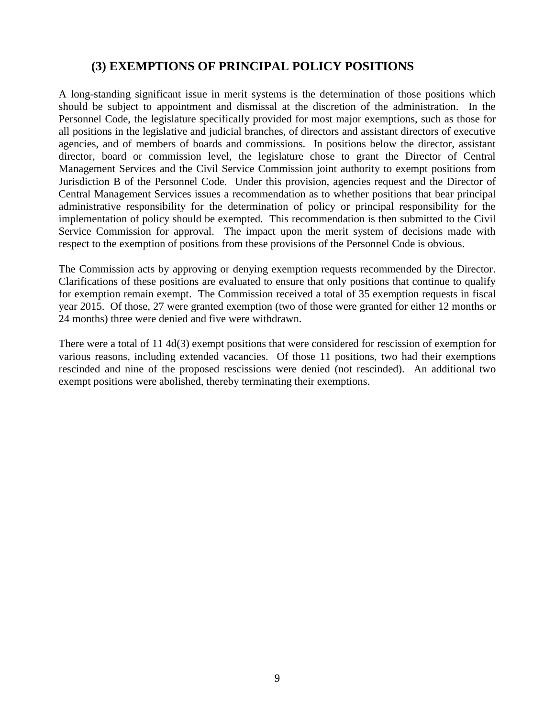## **(3) EXEMPTIONS OF PRINCIPAL POLICY POSITIONS**

A long-standing significant issue in merit systems is the determination of those positions which should be subject to appointment and dismissal at the discretion of the administration. In the Personnel Code, the legislature specifically provided for most major exemptions, such as those for all positions in the legislative and judicial branches, of directors and assistant directors of executive agencies, and of members of boards and commissions. In positions below the director, assistant director, board or commission level, the legislature chose to grant the Director of Central Management Services and the Civil Service Commission joint authority to exempt positions from Jurisdiction B of the Personnel Code. Under this provision, agencies request and the Director of Central Management Services issues a recommendation as to whether positions that bear principal administrative responsibility for the determination of policy or principal responsibility for the implementation of policy should be exempted. This recommendation is then submitted to the Civil Service Commission for approval. The impact upon the merit system of decisions made with respect to the exemption of positions from these provisions of the Personnel Code is obvious.

The Commission acts by approving or denying exemption requests recommended by the Director. Clarifications of these positions are evaluated to ensure that only positions that continue to qualify for exemption remain exempt. The Commission received a total of 35 exemption requests in fiscal year 2015. Of those, 27 were granted exemption (two of those were granted for either 12 months or 24 months) three were denied and five were withdrawn.

There were a total of 11 4d(3) exempt positions that were considered for rescission of exemption for various reasons, including extended vacancies. Of those 11 positions, two had their exemptions rescinded and nine of the proposed rescissions were denied (not rescinded). An additional two exempt positions were abolished, thereby terminating their exemptions.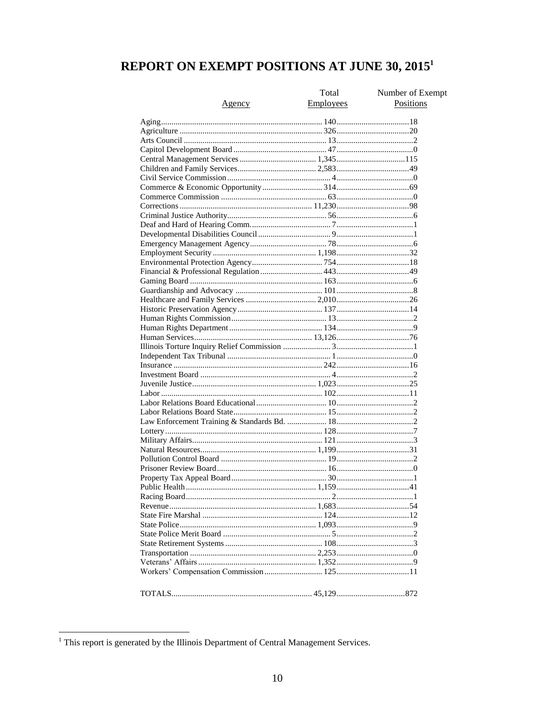# REPORT ON EXEMPT POSITIONS AT JUNE 30, 2015<sup>1</sup>

|         | Total     | Number of Exempt |
|---------|-----------|------------------|
| Agency  | Employees | Positions        |
|         |           |                  |
|         |           |                  |
|         |           |                  |
|         |           |                  |
|         |           |                  |
|         |           |                  |
|         |           |                  |
|         |           |                  |
|         |           |                  |
|         |           |                  |
|         |           |                  |
|         |           |                  |
|         |           |                  |
|         |           |                  |
|         |           |                  |
|         |           |                  |
|         |           |                  |
|         |           |                  |
|         |           |                  |
|         |           |                  |
|         |           |                  |
|         |           |                  |
|         |           |                  |
|         |           |                  |
|         |           |                  |
|         |           |                  |
|         |           |                  |
|         |           |                  |
|         |           |                  |
|         |           |                  |
|         |           |                  |
|         |           |                  |
|         |           |                  |
|         |           |                  |
|         |           |                  |
|         |           |                  |
|         |           |                  |
|         |           |                  |
|         |           |                  |
|         |           |                  |
|         |           |                  |
|         |           |                  |
|         |           |                  |
|         |           |                  |
|         |           |                  |
|         |           |                  |
|         |           |                  |
|         |           |                  |
|         |           |                  |
|         |           |                  |
|         |           |                  |
|         |           |                  |
| TOTALS. | 45 129    | 872              |

<sup>&</sup>lt;sup>1</sup> This report is generated by the Illinois Department of Central Management Services.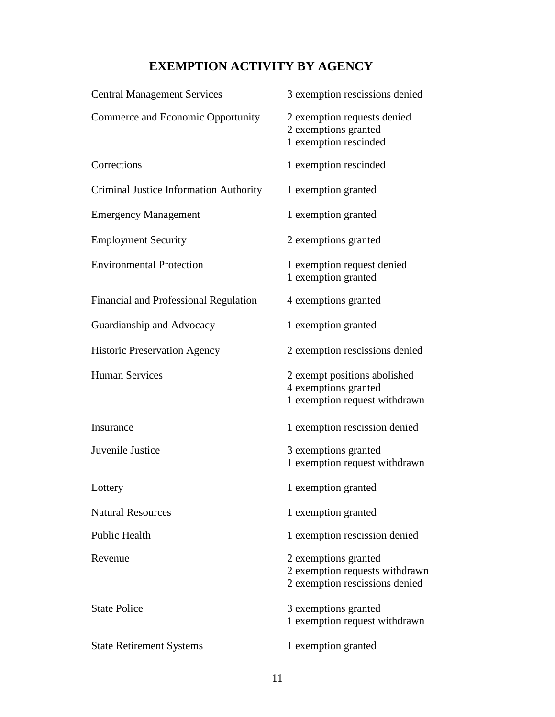# **EXEMPTION ACTIVITY BY AGENCY**

| <b>Central Management Services</b>     | 3 exemption rescissions denied                                                           |
|----------------------------------------|------------------------------------------------------------------------------------------|
| Commerce and Economic Opportunity      | 2 exemption requests denied<br>2 exemptions granted<br>1 exemption rescinded             |
| Corrections                            | 1 exemption rescinded                                                                    |
| Criminal Justice Information Authority | 1 exemption granted                                                                      |
| <b>Emergency Management</b>            | 1 exemption granted                                                                      |
| <b>Employment Security</b>             | 2 exemptions granted                                                                     |
| <b>Environmental Protection</b>        | 1 exemption request denied<br>1 exemption granted                                        |
| Financial and Professional Regulation  | 4 exemptions granted                                                                     |
| Guardianship and Advocacy              | 1 exemption granted                                                                      |
| <b>Historic Preservation Agency</b>    | 2 exemption rescissions denied                                                           |
| <b>Human Services</b>                  | 2 exempt positions abolished<br>4 exemptions granted<br>1 exemption request withdrawn    |
| Insurance                              | 1 exemption rescission denied                                                            |
| Juvenile Justice                       | 3 exemptions granted<br>1 exemption request withdrawn                                    |
| Lottery                                | 1 exemption granted                                                                      |
| <b>Natural Resources</b>               | 1 exemption granted                                                                      |
| Public Health                          | 1 exemption rescission denied                                                            |
| Revenue                                | 2 exemptions granted<br>2 exemption requests withdrawn<br>2 exemption rescissions denied |
| <b>State Police</b>                    | 3 exemptions granted<br>1 exemption request withdrawn                                    |
| <b>State Retirement Systems</b>        | 1 exemption granted                                                                      |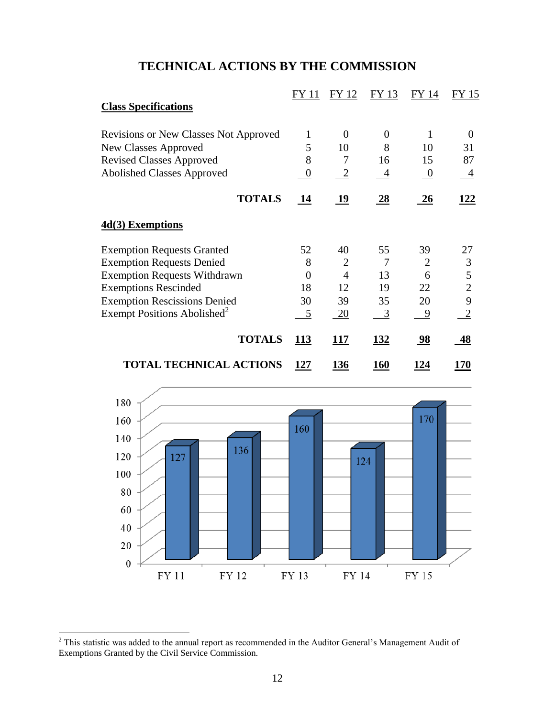# **TECHNICAL ACTIONS BY THE COMMISSION**

|                                              | FY 11       | FY 12          | FY 13          | FY 14          | FY 15          |
|----------------------------------------------|-------------|----------------|----------------|----------------|----------------|
| <b>Class Specifications</b>                  |             |                |                |                |                |
| <b>Revisions or New Classes Not Approved</b> | 1           | $\overline{0}$ | $\overline{0}$ | 1              | $\theta$       |
| <b>New Classes Approved</b>                  | 5           | 10             | 8              | 10             | 31             |
| <b>Revised Classes Approved</b>              | 8           | 7              | 16             | 15             | 87             |
| <b>Abolished Classes Approved</b>            | 0           | $\overline{2}$ | $\overline{4}$ | $\overline{0}$ | 4              |
| <b>TOTALS</b>                                | 14          | 19             | <u>28</u>      | 26             | <u> 122</u>    |
| $4d(3)$ Exemptions                           |             |                |                |                |                |
| <b>Exemption Requests Granted</b>            | 52          | 40             | 55             | 39             | 27             |
| <b>Exemption Requests Denied</b>             | 8           | 2              | 7              | $\overline{2}$ | 3              |
| <b>Exemption Requests Withdrawn</b>          | 0           | 4              | 13             | 6              | 5              |
| <b>Exemptions Rescinded</b>                  | 18          | 12             | 19             | 22             | $\overline{2}$ |
| <b>Exemption Rescissions Denied</b>          | 30          | 39             | 35             | 20             | 9              |
| Exempt Positions Abolished <sup>2</sup>      | 5           | 20             | 3              | 9              | $\mathbf{2}$   |
| <b>TOTALS</b>                                | <b>113</b>  | 117            | <u>132</u>     | <u>98</u>      | 48             |
| <b>TOTAL TECHNICAL ACTIONS</b>               | <u> 127</u> | <u> 136</u>    | <u> 160</u>    | <u> 124</u>    | 170            |



 $\overline{a}$ 

 $2$  This statistic was added to the annual report as recommended in the Auditor General's Management Audit of Exemptions Granted by the Civil Service Commission.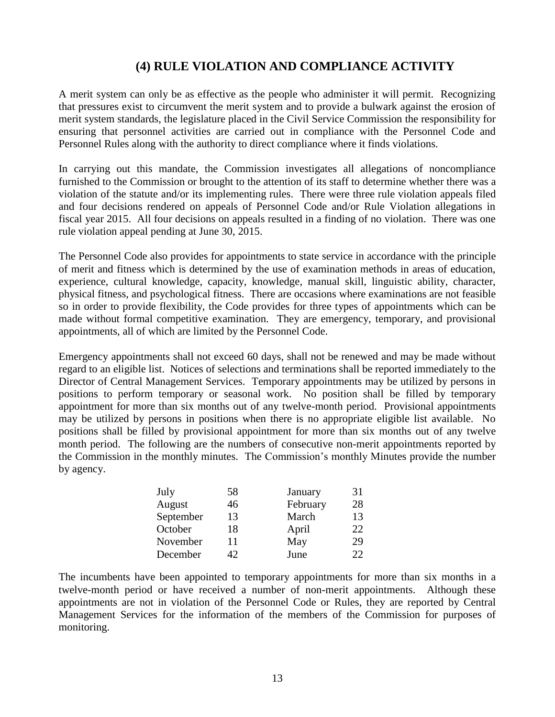# **(4) RULE VIOLATION AND COMPLIANCE ACTIVITY**

A merit system can only be as effective as the people who administer it will permit. Recognizing that pressures exist to circumvent the merit system and to provide a bulwark against the erosion of merit system standards, the legislature placed in the Civil Service Commission the responsibility for ensuring that personnel activities are carried out in compliance with the Personnel Code and Personnel Rules along with the authority to direct compliance where it finds violations.

In carrying out this mandate, the Commission investigates all allegations of noncompliance furnished to the Commission or brought to the attention of its staff to determine whether there was a violation of the statute and/or its implementing rules. There were three rule violation appeals filed and four decisions rendered on appeals of Personnel Code and/or Rule Violation allegations in fiscal year 2015. All four decisions on appeals resulted in a finding of no violation. There was one rule violation appeal pending at June 30, 2015.

The Personnel Code also provides for appointments to state service in accordance with the principle of merit and fitness which is determined by the use of examination methods in areas of education, experience, cultural knowledge, capacity, knowledge, manual skill, linguistic ability, character, physical fitness, and psychological fitness. There are occasions where examinations are not feasible so in order to provide flexibility, the Code provides for three types of appointments which can be made without formal competitive examination. They are emergency, temporary, and provisional appointments, all of which are limited by the Personnel Code.

Emergency appointments shall not exceed 60 days, shall not be renewed and may be made without regard to an eligible list. Notices of selections and terminations shall be reported immediately to the Director of Central Management Services. Temporary appointments may be utilized by persons in positions to perform temporary or seasonal work. No position shall be filled by temporary appointment for more than six months out of any twelve-month period. Provisional appointments may be utilized by persons in positions when there is no appropriate eligible list available. No positions shall be filled by provisional appointment for more than six months out of any twelve month period. The following are the numbers of consecutive non-merit appointments reported by the Commission in the monthly minutes. The Commission's monthly Minutes provide the number by agency.

| July      | 58 | January  | 31 |
|-----------|----|----------|----|
| August    | 46 | February | 28 |
| September | 13 | March    | 13 |
| October   | 18 | April    | 22 |
| November  | 11 | May      | 29 |
| December  | 42 | June     | フフ |

The incumbents have been appointed to temporary appointments for more than six months in a twelve-month period or have received a number of non-merit appointments. Although these appointments are not in violation of the Personnel Code or Rules, they are reported by Central Management Services for the information of the members of the Commission for purposes of monitoring.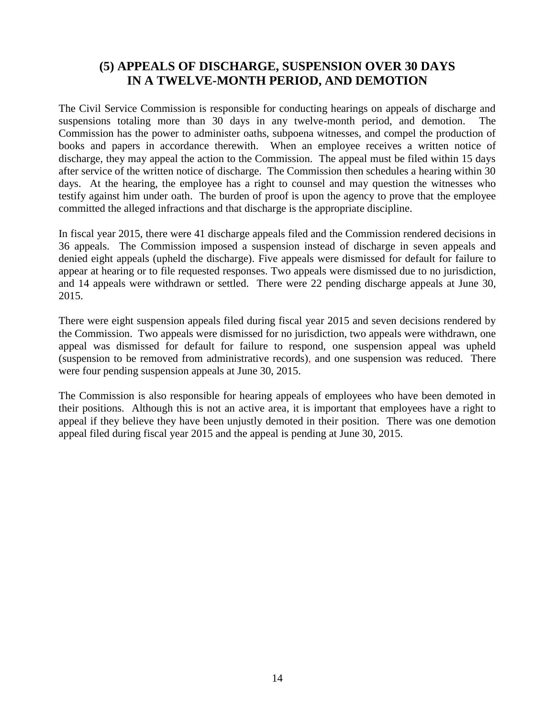# **(5) APPEALS OF DISCHARGE, SUSPENSION OVER 30 DAYS IN A TWELVE-MONTH PERIOD, AND DEMOTION**

The Civil Service Commission is responsible for conducting hearings on appeals of discharge and suspensions totaling more than 30 days in any twelve-month period, and demotion. The Commission has the power to administer oaths, subpoena witnesses, and compel the production of books and papers in accordance therewith. When an employee receives a written notice of discharge, they may appeal the action to the Commission. The appeal must be filed within 15 days after service of the written notice of discharge. The Commission then schedules a hearing within 30 days. At the hearing, the employee has a right to counsel and may question the witnesses who testify against him under oath. The burden of proof is upon the agency to prove that the employee committed the alleged infractions and that discharge is the appropriate discipline.

In fiscal year 2015, there were 41 discharge appeals filed and the Commission rendered decisions in 36 appeals. The Commission imposed a suspension instead of discharge in seven appeals and denied eight appeals (upheld the discharge). Five appeals were dismissed for default for failure to appear at hearing or to file requested responses. Two appeals were dismissed due to no jurisdiction, and 14 appeals were withdrawn or settled. There were 22 pending discharge appeals at June 30, 2015.

There were eight suspension appeals filed during fiscal year 2015 and seven decisions rendered by the Commission. Two appeals were dismissed for no jurisdiction, two appeals were withdrawn, one appeal was dismissed for default for failure to respond, one suspension appeal was upheld (suspension to be removed from administrative records), and one suspension was reduced. There were four pending suspension appeals at June 30, 2015.

The Commission is also responsible for hearing appeals of employees who have been demoted in their positions. Although this is not an active area, it is important that employees have a right to appeal if they believe they have been unjustly demoted in their position. There was one demotion appeal filed during fiscal year 2015 and the appeal is pending at June 30, 2015.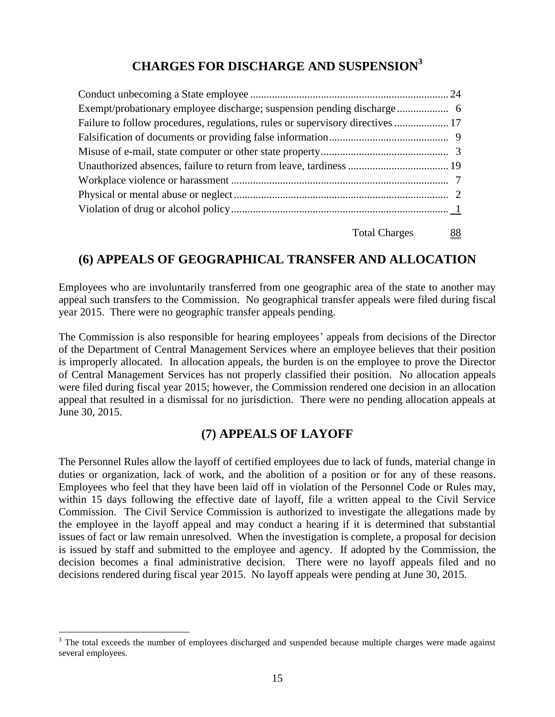# **CHARGES FOR DISCHARGE AND SUSPENSION<sup>3</sup>**

| Failure to follow procedures, regulations, rules or supervisory directives  17 |  |
|--------------------------------------------------------------------------------|--|
|                                                                                |  |
|                                                                                |  |
|                                                                                |  |
|                                                                                |  |
|                                                                                |  |
|                                                                                |  |
|                                                                                |  |

Total Charges 88

# **(6) APPEALS OF GEOGRAPHICAL TRANSFER AND ALLOCATION**

Employees who are involuntarily transferred from one geographic area of the state to another may appeal such transfers to the Commission. No geographical transfer appeals were filed during fiscal year 2015. There were no geographic transfer appeals pending.

The Commission is also responsible for hearing employees' appeals from decisions of the Director of the Department of Central Management Services where an employee believes that their position is improperly allocated. In allocation appeals, the burden is on the employee to prove the Director of Central Management Services has not properly classified their position. No allocation appeals were filed during fiscal year 2015; however, the Commission rendered one decision in an allocation appeal that resulted in a dismissal for no jurisdiction. There were no pending allocation appeals at June 30, 2015.

## **(7) APPEALS OF LAYOFF**

The Personnel Rules allow the layoff of certified employees due to lack of funds, material change in duties or organization, lack of work, and the abolition of a position or for any of these reasons. Employees who feel that they have been laid off in violation of the Personnel Code or Rules may, within 15 days following the effective date of layoff, file a written appeal to the Civil Service Commission. The Civil Service Commission is authorized to investigate the allegations made by the employee in the layoff appeal and may conduct a hearing if it is determined that substantial issues of fact or law remain unresolved. When the investigation is complete, a proposal for decision is issued by staff and submitted to the employee and agency. If adopted by the Commission, the decision becomes a final administrative decision. There were no layoff appeals filed and no decisions rendered during fiscal year 2015. No layoff appeals were pending at June 30, 2015.

 $\overline{a}$ 

<sup>&</sup>lt;sup>3</sup> The total exceeds the number of employees discharged and suspended because multiple charges were made against several employees.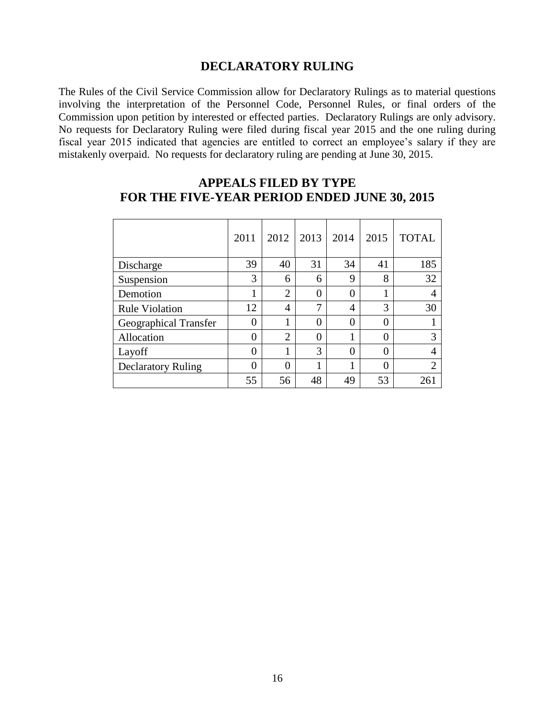#### **DECLARATORY RULING**

The Rules of the Civil Service Commission allow for Declaratory Rulings as to material questions involving the interpretation of the Personnel Code, Personnel Rules, or final orders of the Commission upon petition by interested or effected parties. Declaratory Rulings are only advisory. No requests for Declaratory Ruling were filed during fiscal year 2015 and the one ruling during fiscal year 2015 indicated that agencies are entitled to correct an employee's salary if they are mistakenly overpaid. No requests for declaratory ruling are pending at June 30, 2015.

|                           | 2011           | 2012           | 2013 | 2014     | 2015           | <b>TOTAL</b> |
|---------------------------|----------------|----------------|------|----------|----------------|--------------|
| Discharge                 | 39             | 40             | 31   | 34       | 41             | 185          |
| Suspension                | 3              | 6              | 6    | 9        | 8              | 32           |
| Demotion                  | 1              | $\overline{2}$ | 0    | $\theta$ | 1              | 4            |
| <b>Rule Violation</b>     | 12             | $\overline{4}$ | 7    | 4        | 3              | 30           |
| Geographical Transfer     | 0              |                | 0    | 0        | $\overline{0}$ |              |
| Allocation                | $\overline{0}$ | $\overline{2}$ | 0    | 1        | $\overline{0}$ |              |
| Layoff                    | $\theta$       |                | 3    | 0        | $\theta$       | 4            |
| <b>Declaratory Ruling</b> | $\theta$       | $\Omega$       | 1    | 1        | $\theta$       | ↑            |
|                           | 55             | 56             | 48   | 49       | 53             | 261          |

### **APPEALS FILED BY TYPE FOR THE FIVE-YEAR PERIOD ENDED JUNE 30, 2015**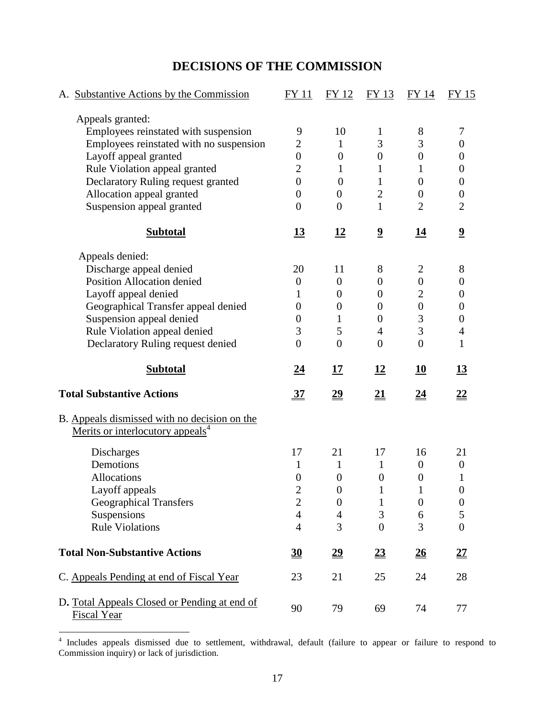# **DECISIONS OF THE COMMISSION**

| A. Substantive Actions by the Commission                                                     | FY 11            | FY 12            | FY 13                   | FY 14            | <b>FY 15</b>            |
|----------------------------------------------------------------------------------------------|------------------|------------------|-------------------------|------------------|-------------------------|
| Appeals granted:                                                                             |                  |                  |                         |                  |                         |
| Employees reinstated with suspension                                                         | 9                | 10               | 1                       | 8                | 7                       |
| Employees reinstated with no suspension                                                      | $\overline{2}$   | 1                | 3                       | 3                | $\boldsymbol{0}$        |
| Layoff appeal granted                                                                        | $\boldsymbol{0}$ | $\boldsymbol{0}$ | $\boldsymbol{0}$        | $\boldsymbol{0}$ | $\boldsymbol{0}$        |
| Rule Violation appeal granted                                                                | $\overline{2}$   | 1                | 1                       | 1                | $\theta$                |
| Declaratory Ruling request granted                                                           | $\boldsymbol{0}$ | $\boldsymbol{0}$ | $\mathbf{1}$            | $\overline{0}$   | $\boldsymbol{0}$        |
| Allocation appeal granted                                                                    | $\boldsymbol{0}$ | $\boldsymbol{0}$ | $\overline{2}$          | $\boldsymbol{0}$ | $\boldsymbol{0}$        |
| Suspension appeal granted                                                                    | $\boldsymbol{0}$ | $\overline{0}$   | $\mathbf{1}$            | $\overline{2}$   | $\overline{2}$          |
| <b>Subtotal</b>                                                                              | <u>13</u>        | <u>12</u>        | $\overline{\mathbf{2}}$ | 14               | $\overline{\mathbf{2}}$ |
| Appeals denied:                                                                              |                  |                  |                         |                  |                         |
| Discharge appeal denied                                                                      | 20               | 11               | 8                       | $\overline{2}$   | 8                       |
| <b>Position Allocation denied</b>                                                            | $\boldsymbol{0}$ | $\boldsymbol{0}$ | $\boldsymbol{0}$        | $\boldsymbol{0}$ | $\boldsymbol{0}$        |
| Layoff appeal denied                                                                         | 1                | $\overline{0}$   | $\boldsymbol{0}$        | $\mathbf{2}$     | $\theta$                |
| Geographical Transfer appeal denied                                                          | $\boldsymbol{0}$ | $\overline{0}$   | $\boldsymbol{0}$        | $\boldsymbol{0}$ | $\boldsymbol{0}$        |
| Suspension appeal denied                                                                     | 0                | $\mathbf{1}$     | $\boldsymbol{0}$        | $\mathfrak{Z}$   | $\boldsymbol{0}$        |
| Rule Violation appeal denied                                                                 | 3                | 5                | $\overline{4}$          | 3                | $\overline{4}$          |
| Declaratory Ruling request denied                                                            | $\overline{0}$   | $\overline{0}$   | $\overline{0}$          | $\boldsymbol{0}$ | 1                       |
| <b>Subtotal</b>                                                                              | <u>24</u>        | 17               | <u>12</u>               | 10               | <u>13</u>               |
|                                                                                              |                  | $\underline{29}$ | <u>21</u>               | <u>24</u>        | <u>22</u>               |
| <b>Total Substantive Actions</b>                                                             | $\frac{37}{2}$   |                  |                         |                  |                         |
|                                                                                              |                  |                  |                         |                  |                         |
| B. Appeals dismissed with no decision on the<br>Merits or interlocutory appeals <sup>4</sup> |                  |                  |                         |                  |                         |
| Discharges                                                                                   | 17               | 21               | 17                      | 16               | 21                      |
| Demotions                                                                                    | 1                | 1                | $\mathbf{1}$            | $\boldsymbol{0}$ | $\boldsymbol{0}$        |
| <b>Allocations</b>                                                                           | $\boldsymbol{0}$ | $\boldsymbol{0}$ | $\boldsymbol{0}$        | $\boldsymbol{0}$ |                         |
|                                                                                              | $\overline{c}$   | $\overline{0}$   |                         |                  | 0                       |
| Layoff appeals<br><b>Geographical Transfers</b>                                              | $\mathfrak{2}$   | $\boldsymbol{0}$ | 1                       | $\boldsymbol{0}$ | $\boldsymbol{0}$        |
| Suspensions                                                                                  | $\overline{4}$   | $\overline{4}$   | 3                       | 6                | 5                       |
| <b>Rule Violations</b>                                                                       | $\overline{4}$   | $\overline{3}$   | $\boldsymbol{0}$        | 3                | $\overline{0}$          |
| <b>Total Non-Substantive Actions</b>                                                         | 30               | $\underline{29}$ | 23                      | $\frac{26}{5}$   | $2\underline{7}$        |
| C. Appeals Pending at end of Fiscal Year                                                     | 23               | 21               | 25                      | 24               | 28                      |

 4 Includes appeals dismissed due to settlement, withdrawal, default (failure to appear or failure to respond to Commission inquiry) or lack of jurisdiction.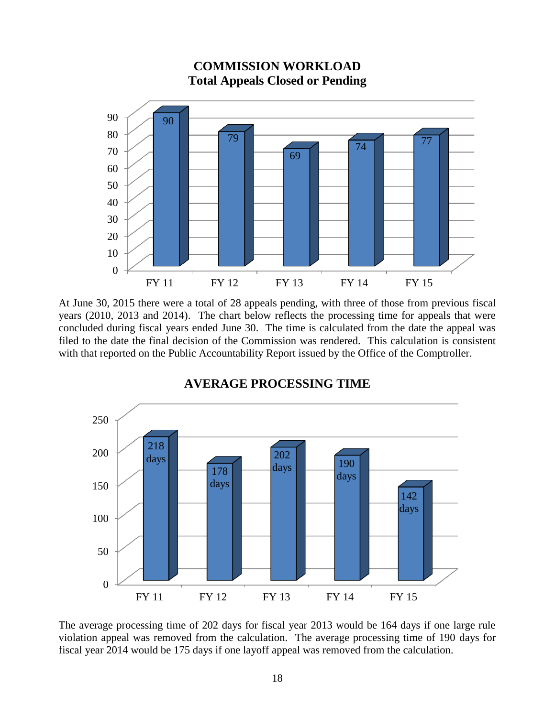

At June 30, 2015 there were a total of 28 appeals pending, with three of those from previous fiscal years (2010, 2013 and 2014). The chart below reflects the processing time for appeals that were concluded during fiscal years ended June 30. The time is calculated from the date the appeal was filed to the date the final decision of the Commission was rendered. This calculation is consistent with that reported on the Public Accountability Report issued by the Office of the Comptroller.



#### **AVERAGE PROCESSING TIME**

The average processing time of 202 days for fiscal year 2013 would be 164 days if one large rule violation appeal was removed from the calculation. The average processing time of 190 days for fiscal year 2014 would be 175 days if one layoff appeal was removed from the calculation.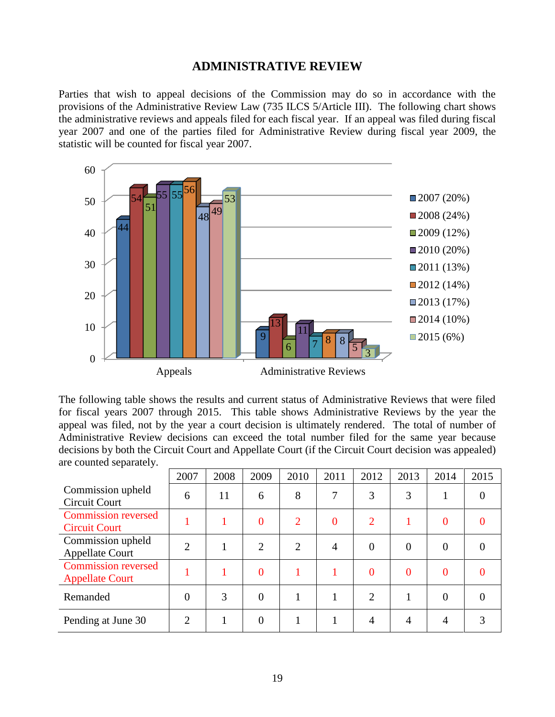#### **ADMINISTRATIVE REVIEW**

Parties that wish to appeal decisions of the Commission may do so in accordance with the provisions of the Administrative Review Law (735 ILCS 5/Article III). The following chart shows the administrative reviews and appeals filed for each fiscal year. If an appeal was filed during fiscal year 2007 and one of the parties filed for Administrative Review during fiscal year 2009, the statistic will be counted for fiscal year 2007.



The following table shows the results and current status of Administrative Reviews that were filed for fiscal years 2007 through 2015. This table shows Administrative Reviews by the year the appeal was filed, not by the year a court decision is ultimately rendered. The total of number of Administrative Review decisions can exceed the total number filed for the same year because decisions by both the Circuit Court and Appellate Court (if the Circuit Court decision was appealed) are counted separately.

|                                                      | 2007                        | 2008 | 2009           | 2010           | 2011     | 2012           | 2013     | 2014           | 2015     |
|------------------------------------------------------|-----------------------------|------|----------------|----------------|----------|----------------|----------|----------------|----------|
| Commission upheld<br>Circuit Court                   | 6                           | 11   | 6              | 8              | 7        | 3              | 3        |                | $\Omega$ |
| <b>Commission reversed</b><br><b>Circuit Court</b>   |                             |      | $\overline{0}$ | $\overline{2}$ | $\theta$ | $\overline{2}$ |          | $\theta$       |          |
| Commission upheld<br><b>Appellate Court</b>          | $\overline{2}$              |      | 2              | $\overline{2}$ | 4        | $\overline{0}$ | $\Omega$ | $\overline{0}$ | $\Omega$ |
| <b>Commission reversed</b><br><b>Appellate Court</b> |                             |      | $\overline{0}$ |                |          | $\overline{0}$ | 0        | $\Omega$       |          |
| Remanded                                             | $\theta$                    | 3    | $\theta$       |                |          | $\overline{2}$ |          | $\theta$       | 0        |
| Pending at June 30                                   | $\mathcal{D}_{\mathcal{A}}$ |      | 0              |                |          | 4              | 4        | 4              | 3        |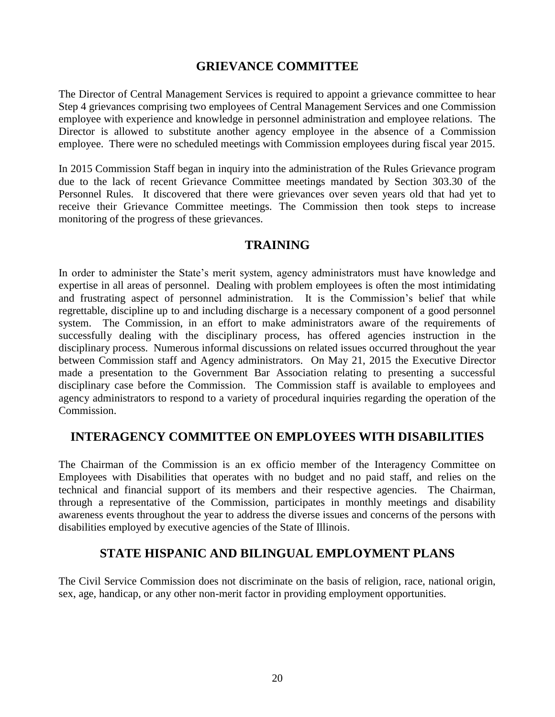### **GRIEVANCE COMMITTEE**

The Director of Central Management Services is required to appoint a grievance committee to hear Step 4 grievances comprising two employees of Central Management Services and one Commission employee with experience and knowledge in personnel administration and employee relations. The Director is allowed to substitute another agency employee in the absence of a Commission employee. There were no scheduled meetings with Commission employees during fiscal year 2015.

In 2015 Commission Staff began in inquiry into the administration of the Rules Grievance program due to the lack of recent Grievance Committee meetings mandated by Section 303.30 of the Personnel Rules. It discovered that there were grievances over seven years old that had yet to receive their Grievance Committee meetings. The Commission then took steps to increase monitoring of the progress of these grievances.

### **TRAINING**

In order to administer the State's merit system, agency administrators must have knowledge and expertise in all areas of personnel. Dealing with problem employees is often the most intimidating and frustrating aspect of personnel administration. It is the Commission's belief that while regrettable, discipline up to and including discharge is a necessary component of a good personnel system. The Commission, in an effort to make administrators aware of the requirements of successfully dealing with the disciplinary process, has offered agencies instruction in the disciplinary process. Numerous informal discussions on related issues occurred throughout the year between Commission staff and Agency administrators. On May 21, 2015 the Executive Director made a presentation to the Government Bar Association relating to presenting a successful disciplinary case before the Commission. The Commission staff is available to employees and agency administrators to respond to a variety of procedural inquiries regarding the operation of the Commission.

## **INTERAGENCY COMMITTEE ON EMPLOYEES WITH DISABILITIES**

The Chairman of the Commission is an ex officio member of the Interagency Committee on Employees with Disabilities that operates with no budget and no paid staff, and relies on the technical and financial support of its members and their respective agencies. The Chairman, through a representative of the Commission, participates in monthly meetings and disability awareness events throughout the year to address the diverse issues and concerns of the persons with disabilities employed by executive agencies of the State of Illinois.

#### **STATE HISPANIC AND BILINGUAL EMPLOYMENT PLANS**

The Civil Service Commission does not discriminate on the basis of religion, race, national origin, sex, age, handicap, or any other non-merit factor in providing employment opportunities.